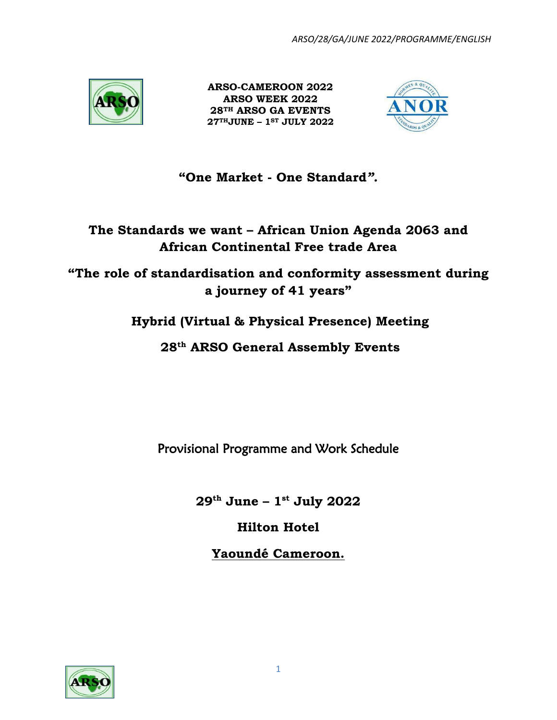

 **ARSO-CAMEROON 2022 ARSO WEEK 2022 28TH ARSO GA EVENTS 27THJUNE – 1ST JULY 2022**



# **"One Market - One Standard***".*

# **The Standards we want – African Union Agenda 2063 and African Continental Free trade Area**

**"The role of standardisation and conformity assessment during a journey of 41 years"**

# **Hybrid (Virtual & Physical Presence) Meeting**

**28 th ARSO General Assembly Events**

Provisional Programme and Work Schedule

**29th June – 1 st July 2022**

**Hilton Hotel**

**Yaoundé Cameroon.**

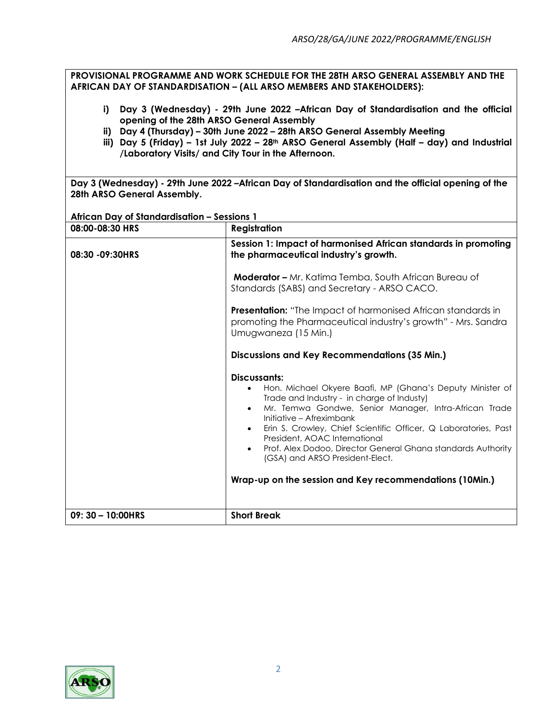**PROVISIONAL PROGRAMME AND WORK SCHEDULE FOR THE 28TH ARSO GENERAL ASSEMBLY AND THE AFRICAN DAY OF STANDARDISATION – (ALL ARSO MEMBERS AND STAKEHOLDERS):**

- **i) Day 3 (Wednesday) - 29th June 2022 –African Day of Standardisation and the official opening of the 28th ARSO General Assembly**
- **ii) Day 4 (Thursday) – 30th June 2022 – 28th ARSO General Assembly Meeting**
- **iii) Day 5 (Friday) – 1st July 2022 – 28th ARSO General Assembly (Half – day) and Industrial /Laboratory Visits/ and City Tour in the Afternoon.**

**Day 3 (Wednesday) - 29th June 2022 –African Day of Standardisation and the official opening of the 28th ARSO General Assembly.**

**African Day of Standardisation – Sessions 1**

| 08:00-08:30 HRS   | <b>Registration</b>                                                                                                                                                                                                                                                                                                                                                                                                                                                                                                                |
|-------------------|------------------------------------------------------------------------------------------------------------------------------------------------------------------------------------------------------------------------------------------------------------------------------------------------------------------------------------------------------------------------------------------------------------------------------------------------------------------------------------------------------------------------------------|
| 08:30 - 09:30 HRS | Session 1: Impact of harmonised African standards in promoting<br>the pharmaceutical industry's growth.                                                                                                                                                                                                                                                                                                                                                                                                                            |
|                   | <b>Moderator - Mr.</b> Katima Temba, South African Bureau of<br>Standards (SABS) and Secretary - ARSO CACO.                                                                                                                                                                                                                                                                                                                                                                                                                        |
|                   | <b>Presentation:</b> "The Impact of harmonised African standards in<br>promoting the Pharmaceutical industry's growth" - Mrs. Sandra<br>Umugwaneza (15 Min.)                                                                                                                                                                                                                                                                                                                                                                       |
|                   | <b>Discussions and Key Recommendations (35 Min.)</b>                                                                                                                                                                                                                                                                                                                                                                                                                                                                               |
|                   | Discussants:<br>Hon. Michael Okyere Baafi, MP (Ghana's Deputy Minister of<br>$\bullet$<br>Trade and Industry - in charge of Industy)<br>Mr. Temwa Gondwe, Senior Manager, Intra-African Trade<br>$\bullet$<br>Initiative - Afreximbank<br>Erin S. Crowley, Chief Scientific Officer, Q Laboratories, Past<br>$\bullet$<br>President, AOAC International<br>Prof. Alex Dodoo, Director General Ghana standards Authority<br>$\bullet$<br>(GSA) and ARSO President-Elect.<br>Wrap-up on the session and Key recommendations (10Min.) |
| 09: 30 - 10:00HRS | <b>Short Break</b>                                                                                                                                                                                                                                                                                                                                                                                                                                                                                                                 |

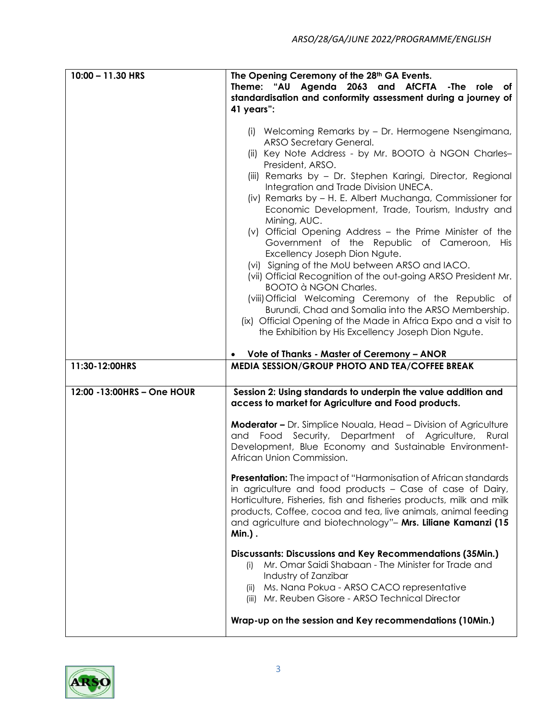| 10:00 - 11.30 HRS           | The Opening Ceremony of the 28th GA Events.                                                                  |
|-----------------------------|--------------------------------------------------------------------------------------------------------------|
|                             | Theme: "AU Agenda 2063 and AfCFTA -The role of                                                               |
|                             | standardisation and conformity assessment during a journey of<br>41 years":                                  |
|                             |                                                                                                              |
|                             | (i) Welcoming Remarks by - Dr. Hermogene Nsengimana,                                                         |
|                             | ARSO Secretary General.                                                                                      |
|                             | (ii) Key Note Address - by Mr. BOOTO à NGON Charles-                                                         |
|                             | President, ARSO.<br>(iii) Remarks by - Dr. Stephen Karingi, Director, Regional                               |
|                             | Integration and Trade Division UNECA.                                                                        |
|                             | (iv) Remarks by - H. E. Albert Muchanga, Commissioner for                                                    |
|                             | Economic Development, Trade, Tourism, Industry and                                                           |
|                             | Mining, AUC.                                                                                                 |
|                             | (v) Official Opening Address - the Prime Minister of the<br>Government of the Republic of Cameroon, His      |
|                             | Excellency Joseph Dion Ngute.                                                                                |
|                             | (vi) Signing of the MoU between ARSO and IACO.                                                               |
|                             | (vii) Official Recognition of the out-going ARSO President Mr.                                               |
|                             | <b>BOOTO à NGON Charles.</b>                                                                                 |
|                             | (viii) Official Welcoming Ceremony of the Republic of<br>Burundi, Chad and Somalia into the ARSO Membership. |
|                             | (ix) Official Opening of the Made in Africa Expo and a visit to                                              |
|                             | the Exhibition by His Excellency Joseph Dion Ngute.                                                          |
|                             |                                                                                                              |
|                             | Vote of Thanks - Master of Ceremony - ANOR                                                                   |
| 11:30-12:00HRS              | MEDIA SESSION/GROUP PHOTO AND TEA/COFFEE BREAK                                                               |
| 12:00 - 13:00HRS - One HOUR | Session 2: Using standards to underpin the value addition and                                                |
|                             | access to market for Agriculture and Food products.                                                          |
|                             | <b>Moderator -</b> Dr. Simplice Nouala, Head - Division of Agriculture                                       |
|                             | Food Security, Department of Agriculture, Rural<br>and                                                       |
|                             | Development, Blue Economy and Sustainable Environment-                                                       |
|                             | African Union Commission.                                                                                    |
|                             | Presentation: The impact of "Harmonisation of African standards                                              |
|                             | in agriculture and food products – Case of case of Dairy,                                                    |
|                             | Horticulture, Fisheries, fish and fisheries products, milk and milk                                          |
|                             | products, Coffee, cocoa and tea, live animals, animal feeding                                                |
|                             | and agriculture and biotechnology"- Mrs. Liliane Kamanzi (15<br><b>Min.</b> ).                               |
|                             |                                                                                                              |
|                             |                                                                                                              |
|                             | Discussants: Discussions and Key Recommendations (35Min.)                                                    |
|                             | Mr. Omar Saidi Shabaan - The Minister for Trade and<br>(i)                                                   |
|                             | Industry of Zanzibar                                                                                         |
|                             | Ms. Nana Pokua - ARSO CACO representative<br>(ii)<br>(iii) Mr. Reuben Gisore - ARSO Technical Director       |
|                             | Wrap-up on the session and Key recommendations (10Min.)                                                      |

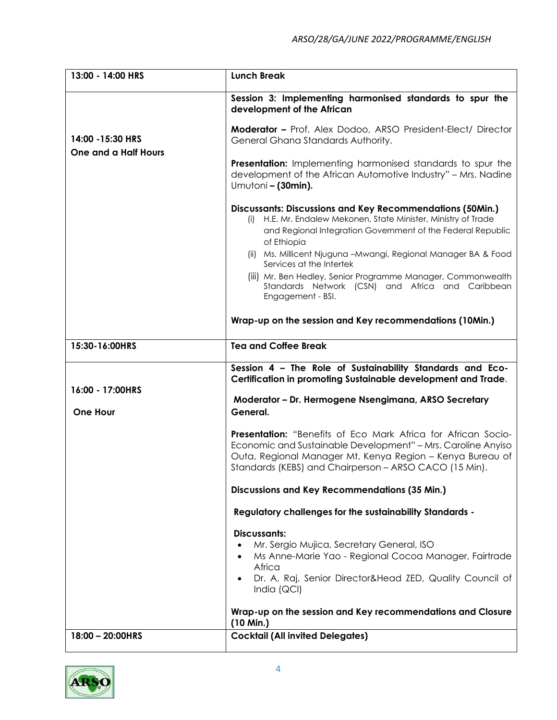| 13:00 - 14:00 HRS           | <b>Lunch Break</b>                                                                                                                                                                                                                                                                                           |
|-----------------------------|--------------------------------------------------------------------------------------------------------------------------------------------------------------------------------------------------------------------------------------------------------------------------------------------------------------|
|                             | Session 3: Implementing harmonised standards to spur the<br>development of the African                                                                                                                                                                                                                       |
| 14:00 - 15:30 HRS           | <b>Moderator - Prof. Alex Dodoo, ARSO President-Elect/ Director</b><br>General Ghana Standards Authority.                                                                                                                                                                                                    |
| <b>One and a Half Hours</b> | <b>Presentation:</b> Implementing harmonised standards to spur the<br>development of the African Automotive Industry" - Mrs. Nadine<br>Umutoni - (30min).                                                                                                                                                    |
|                             | <b>Discussants: Discussions and Key Recommendations (50Min.)</b><br>H.E. Mr. Endalew Mekonen, State Minister, Ministry of Trade<br>and Regional Integration Government of the Federal Republic<br>of Ethiopia<br>(ii) Ms. Millicent Njuguna - Mwangi, Regional Manager BA & Food<br>Services at the Intertek |
|                             | (iii) Mr. Ben Hedley, Senior Programme Manager, Commonwealth<br>Standards Network (CSN) and Africa and Caribbean<br>Engagement - BSI.                                                                                                                                                                        |
|                             | Wrap-up on the session and Key recommendations (10Min.)                                                                                                                                                                                                                                                      |
| 15:30-16:00HRS              | <b>Tea and Coffee Break</b>                                                                                                                                                                                                                                                                                  |
|                             | Session 4 - The Role of Sustainability Standards and Eco-<br>Certification in promoting Sustainable development and Trade.                                                                                                                                                                                   |
| 16:00 - 17:00HRS            | Moderator - Dr. Hermogene Nsengimana, ARSO Secretary                                                                                                                                                                                                                                                         |
| <b>One Hour</b>             | General.                                                                                                                                                                                                                                                                                                     |
|                             | <b>Presentation:</b> "Benefits of Eco Mark Africa for African Socio-<br>Economic and Sustainable Development" - Mrs. Caroline Anyiso<br>Outa, Regional Manager Mt. Kenya Region - Kenya Bureau of<br>Standards (KEBS) and Chairperson - ARSO CACO (15 Min).                                                  |
|                             | <b>Discussions and Key Recommendations (35 Min.)</b>                                                                                                                                                                                                                                                         |
|                             | <b>Regulatory challenges for the sustainability Standards -</b>                                                                                                                                                                                                                                              |
|                             | <b>Discussants:</b><br>Mr. Sergio Mujica, Secretary General, ISO<br>Ms Anne-Marie Yao - Regional Cocoa Manager, Fairtrade<br>Africa<br>Dr. A, Raj, Senior Director&Head ZED, Quality Council of<br>India (QCI)                                                                                               |
|                             | Wrap-up on the session and Key recommendations and Closure<br>(10 Min.)                                                                                                                                                                                                                                      |
| 18:00 - 20:00HRS            | <b>Cocktail (All invited Delegates)</b>                                                                                                                                                                                                                                                                      |

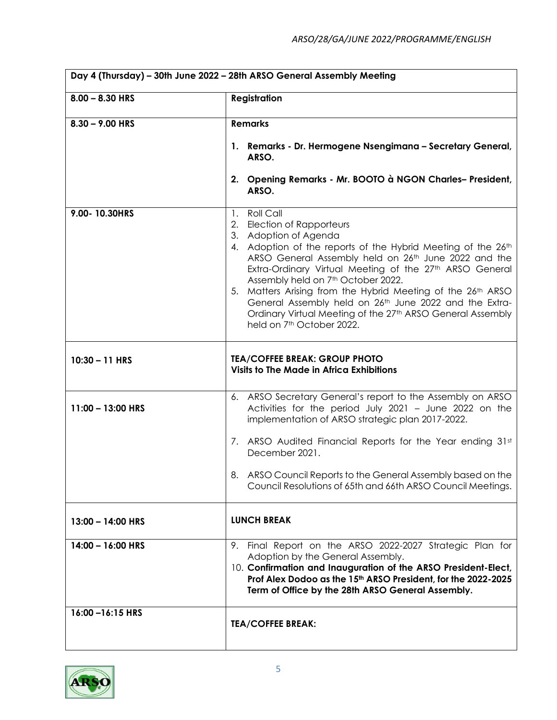| Day 4 (Thursday) - 30th June 2022 - 28th ARSO General Assembly Meeting |                                                                                                                                                                                                                                                                                                                                                                                                                                                                                                                                          |
|------------------------------------------------------------------------|------------------------------------------------------------------------------------------------------------------------------------------------------------------------------------------------------------------------------------------------------------------------------------------------------------------------------------------------------------------------------------------------------------------------------------------------------------------------------------------------------------------------------------------|
| $8.00 - 8.30$ HRS                                                      | <b>Registration</b>                                                                                                                                                                                                                                                                                                                                                                                                                                                                                                                      |
| $8.30 - 9.00$ HRS                                                      | <b>Remarks</b>                                                                                                                                                                                                                                                                                                                                                                                                                                                                                                                           |
|                                                                        | 1. Remarks - Dr. Hermogene Nsengimana - Secretary General,<br>ARSO.                                                                                                                                                                                                                                                                                                                                                                                                                                                                      |
|                                                                        | 2. Opening Remarks - Mr. BOOTO à NGON Charles-President,<br>ARSO.                                                                                                                                                                                                                                                                                                                                                                                                                                                                        |
| 9.00-10.30HRS                                                          | 1. Roll Call<br>2. Election of Rapporteurs<br>3. Adoption of Agenda<br>4. Adoption of the reports of the Hybrid Meeting of the 26th<br>ARSO General Assembly held on 26th June 2022 and the<br>Extra-Ordinary Virtual Meeting of the 27th ARSO General<br>Assembly held on 7 <sup>th</sup> October 2022.<br>5. Matters Arising from the Hybrid Meeting of the 26th ARSO<br>General Assembly held on 26th June 2022 and the Extra-<br>Ordinary Virtual Meeting of the 27th ARSO General Assembly<br>held on 7 <sup>th</sup> October 2022. |
| $10:30 - 11$ HRS                                                       | <b>TEA/COFFEE BREAK: GROUP PHOTO</b><br><b>Visits to The Made in Africa Exhibitions</b>                                                                                                                                                                                                                                                                                                                                                                                                                                                  |
| 11:00 - 13:00 HRS                                                      | 6. ARSO Secretary General's report to the Assembly on ARSO<br>Activities for the period July 2021 - June 2022 on the<br>implementation of ARSO strategic plan 2017-2022.                                                                                                                                                                                                                                                                                                                                                                 |
|                                                                        | 7. ARSO Audited Financial Reports for the Year ending 31st<br>December 2021.                                                                                                                                                                                                                                                                                                                                                                                                                                                             |
|                                                                        | ARSO Council Reports to the General Assembly based on the<br>8.<br>Council Resolutions of 65th and 66th ARSO Council Meetings.                                                                                                                                                                                                                                                                                                                                                                                                           |
| $13:00 - 14:00$ HRS                                                    | <b>LUNCH BREAK</b>                                                                                                                                                                                                                                                                                                                                                                                                                                                                                                                       |
| $14:00 - 16:00$ HRS                                                    | Final Report on the ARSO 2022-2027 Strategic Plan for<br>9.<br>Adoption by the General Assembly.<br>10. Confirmation and Inauguration of the ARSO President-Elect,<br>Prof Alex Dodoo as the 15th ARSO President, for the 2022-2025<br>Term of Office by the 28th ARSO General Assembly.                                                                                                                                                                                                                                                 |
| 16:00-16:15 HRS                                                        | <b>TEA/COFFEE BREAK:</b>                                                                                                                                                                                                                                                                                                                                                                                                                                                                                                                 |

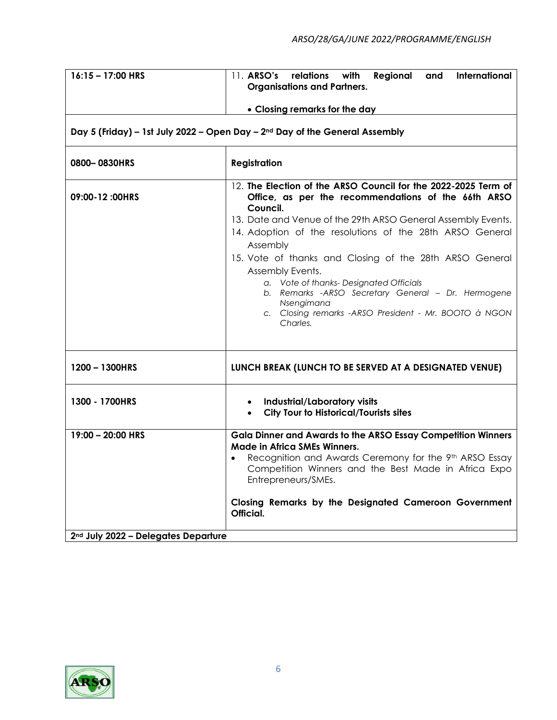| $16:15 - 17:00$ HRS                                                  | 11. ARSO's relations<br>with<br>Regional<br>International<br>and<br><b>Organisations and Partners.</b>                                                                                                                                                                                                                                                                                                                                                                                                                                       |
|----------------------------------------------------------------------|----------------------------------------------------------------------------------------------------------------------------------------------------------------------------------------------------------------------------------------------------------------------------------------------------------------------------------------------------------------------------------------------------------------------------------------------------------------------------------------------------------------------------------------------|
|                                                                      | • Closing remarks for the day<br>Day 5 (Friday) - 1st July 2022 - Open Day - 2nd Day of the General Assembly                                                                                                                                                                                                                                                                                                                                                                                                                                 |
| 0800-0830HRS                                                         | <b>Registration</b>                                                                                                                                                                                                                                                                                                                                                                                                                                                                                                                          |
| 09:00-12 :00HRS                                                      | 12. The Election of the ARSO Council for the 2022-2025 Term of<br>Office, as per the recommendations of the 66th ARSO<br>Council.<br>13. Date and Venue of the 29th ARSO General Assembly Events.<br>14. Adoption of the resolutions of the 28th ARSO General<br>Assembly<br>15. Vote of thanks and Closing of the 28th ARSO General<br>Assembly Events.<br>a. Vote of thanks-Designated Officials<br>b. Remarks -ARSO Secretary General - Dr. Hermogene<br>Nsengimana<br>c. Closing remarks - ARSO President - Mr. BOOTO à NGON<br>Charles. |
| 1200 - 1300HRS                                                       | LUNCH BREAK (LUNCH TO BE SERVED AT A DESIGNATED VENUE)                                                                                                                                                                                                                                                                                                                                                                                                                                                                                       |
| 1300 - 1700HRS                                                       | Industrial/Laboratory visits<br><b>City Tour to Historical/Tourists sites</b><br>$\bullet$                                                                                                                                                                                                                                                                                                                                                                                                                                                   |
| 19:00 - 20:00 HRS<br>2 <sup>nd</sup> July 2022 - Delegates Departure | <b>Gala Dinner and Awards to the ARSO Essay Competition Winners</b><br><b>Made in Africa SMEs Winners.</b><br>Recognition and Awards Ceremony for the 9th ARSO Essay<br>Competition Winners and the Best Made in Africa Expo<br>Entrepreneurs/SMEs.<br>Closing Remarks by the Designated Cameroon Government<br>Official.                                                                                                                                                                                                                    |

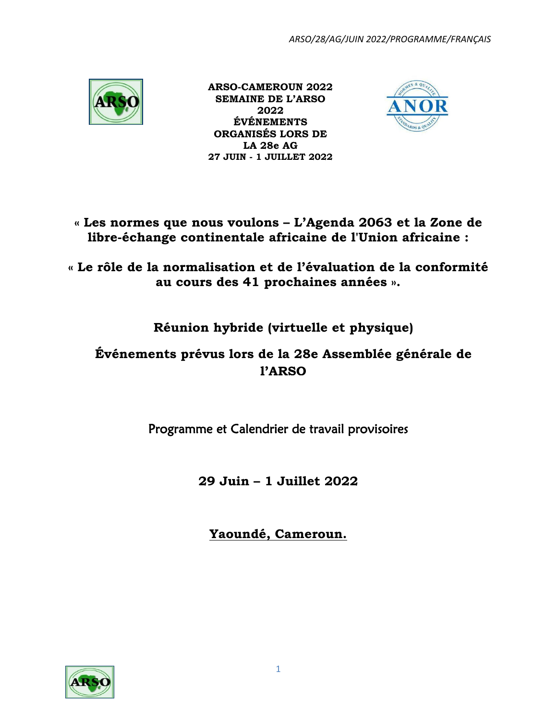

 **ARSO-CAMEROUN 2022 SEMAINE DE L'ARSO 2022 ÉVÉNEMENTS ORGANISÉS LORS DE LA 28e AG 27 JUIN - 1 JUILLET 2022**



**« Les normes que nous voulons – L'Agenda 2063 et la Zone de libre-échange continentale africaine de l'Union africaine :**

**« Le rôle de la normalisation et de l'évaluation de la conformité au cours des 41 prochaines années ».**

# **Réunion hybride (virtuelle et physique)**

# **Événements prévus lors de la 28e Assemblée générale de l'ARSO**

Programme et Calendrier de travail provisoires

**29 Juin – 1 Juillet 2022**

**Yaoundé, Cameroun.**

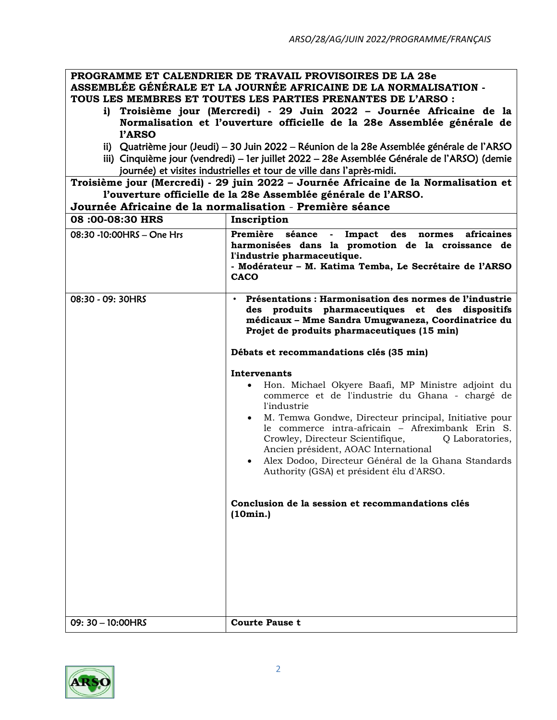## **PROGRAMME ET CALENDRIER DE TRAVAIL PROVISOIRES DE LA 28e ASSEMBLÉE GÉNÉRALE ET LA JOURNÉE AFRICAINE DE LA NORMALISATION - TOUS LES MEMBRES ET TOUTES LES PARTIES PRENANTES DE L'ARSO :**

- **i) Troisième jour (Mercredi) - 29 Juin 2022 – Journée Africaine de la Normalisation et l'ouverture officielle de la 28e Assemblée générale de l'ARSO**
- ii) Quatrième jour (Jeudi) 30 Juin 2022 Réunion de la 28e Assemblée générale de l'ARSO
- iii) Cinquième jour (vendredi) 1er juillet 2022 28e Assemblée Générale de l'ARSO) (demie journée) et visites industrielles et tour de ville dans l'après-midi.

**Troisième jour (Mercredi) - 29 juin 2022 – Journée Africaine de la Normalisation et l'ouverture officielle de la 28e Assemblée générale de l'ARSO.**

**Journée Africaine de la normalisation** - **Première séance 08 :00-08:30 HRS Inscription** 08:30 -10:00HRS – One Hrs **Première séance - Impact des normes africaines harmonisées dans la promotion de la croissance de l'industrie pharmaceutique. - Modérateur – M. Katima Temba, Le Secrétaire de l'ARSO CACO** 08:30 - 09: 30HRS • **Présentations : Harmonisation des normes de l'industrie des produits pharmaceutiques et des dispositifs médicaux – Mme Sandra Umugwaneza, Coordinatrice du Projet de produits pharmaceutiques (15 min) Débats et recommandations clés (35 min) Intervenants** • Hon. Michael Okyere Baafi, MP Ministre adjoint du commerce et de l'industrie du Ghana - chargé de l'industrie • M. Temwa Gondwe, Directeur principal, Initiative pour le commerce intra-africain – Afreximbank Erin S. Crowley, Directeur Scientifique,  $Q$  Laboratories, Ancien président, AOAC International • Alex Dodoo, Directeur Général de la Ghana Standards Authority (GSA) et président élu d'ARSO. **Conclusion de la session et recommandations clés (10min.)** 09: 30 – 10:00HRS **Courte Pause t**

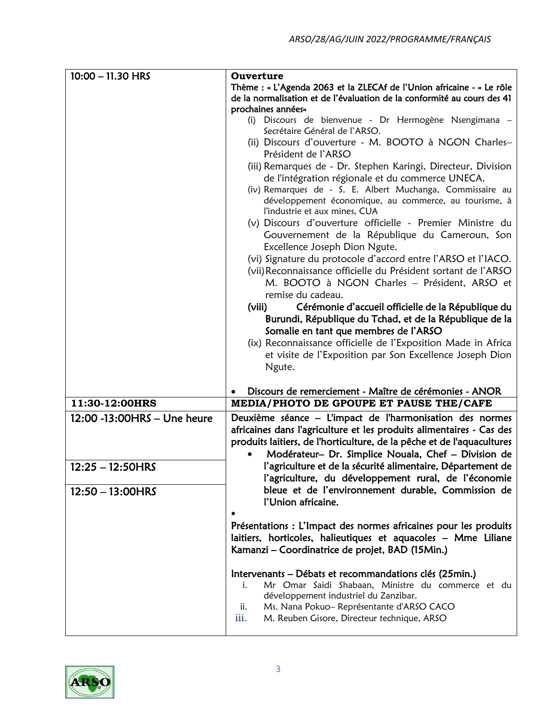| $10:00 - 11.30$ HRS          | Ouverture                                                                                                                                                                                                                                                                |
|------------------------------|--------------------------------------------------------------------------------------------------------------------------------------------------------------------------------------------------------------------------------------------------------------------------|
|                              | Thème : « L'Agenda 2063 et la ZLECAf de l'Union africaine - « Le rôle                                                                                                                                                                                                    |
|                              | de la normalisation et de l'évaluation de la conformité au cours des 41<br>prochaines années»                                                                                                                                                                            |
|                              | (i) Discours de bienvenue - Dr Hermogène Nsengimana -                                                                                                                                                                                                                    |
|                              | Secrétaire Général de l'ARSO.                                                                                                                                                                                                                                            |
|                              | (ii) Discours d'ouverture - M. BOOTO à NGON Charles-                                                                                                                                                                                                                     |
|                              | Président de l'ARSO                                                                                                                                                                                                                                                      |
|                              | (iii) Remarques de - Dr. Stephen Karingi, Directeur, Division<br>de l'intégration régionale et du commerce UNECA.<br>(iv) Remarques de - S. E. Albert Muchanga, Commissaire au<br>développement économique, au commerce, au tourisme, à<br>l'industrie et aux mines, CUA |
|                              | (v) Discours d'ouverture officielle - Premier Ministre du<br>Gouvernement de la République du Cameroun, Son<br>Excellence Joseph Dion Ngute.                                                                                                                             |
|                              | (vi) Signature du protocole d'accord entre l'ARSO et l'IACO.<br>(vii) Reconnaissance officielle du Président sortant de l'ARSO<br>M. BOOTO à NGON Charles - Président, ARSO et                                                                                           |
|                              | remise du cadeau.                                                                                                                                                                                                                                                        |
|                              | Cérémonie d'accueil officielle de la République du<br>(viii)<br>Burundi, République du Tchad, et de la République de la<br>Somalie en tant que membres de l'ARSO                                                                                                         |
|                              | (ix) Reconnaissance officielle de l'Exposition Made in Africa                                                                                                                                                                                                            |
|                              | et visite de l'Exposition par Son Excellence Joseph Dion                                                                                                                                                                                                                 |
|                              | Ngute.                                                                                                                                                                                                                                                                   |
|                              | Discours de remerciement - Maître de cérémonies - ANOR                                                                                                                                                                                                                   |
| 11:30-12:00HRS               | MEDIA/PHOTO DE GPOUPE ET PAUSE THE/CAFE                                                                                                                                                                                                                                  |
| 12:00 -13:00 HRS - Une heure | Deuxième séance - L'impact de l'harmonisation des normes                                                                                                                                                                                                                 |
|                              | africaines dans l'agriculture et les produits alimentaires - Cas des                                                                                                                                                                                                     |
|                              | produits laitiers, de l'horticulture, de la pêche et de l'aquacultures                                                                                                                                                                                                   |
|                              | Modérateur- Dr. Simplice Nouala, Chef - Division de                                                                                                                                                                                                                      |
| $12:25 - 12:50HRS$           | l'agriculture et de la sécurité alimentaire, Département de                                                                                                                                                                                                              |
|                              | l'agriculture, du développement rural, de l'économie                                                                                                                                                                                                                     |
| $12:50 - 13:00$ HRS          | bleue et de l'environnement durable, Commission de<br>l'Union africaine.                                                                                                                                                                                                 |
|                              | Présentations : L'Impact des normes africaines pour les produits<br>laitiers, horticoles, halieutiques et aquacoles - Mme Liliane<br>Kamanzi – Coordinatrice de projet, BAD (15Min.)                                                                                     |
|                              | Intervenants – Débats et recommandations clés (25min.)<br>Mr Omar Saidi Shabaan, Ministre du commerce et du<br>i.<br>développement industriel du Zanzibar.<br>Ms. Nana Pokuo-Représentante d'ARSO CACO<br>ii.<br>iii.<br>M. Reuben Gisore, Directeur technique, ARSO     |

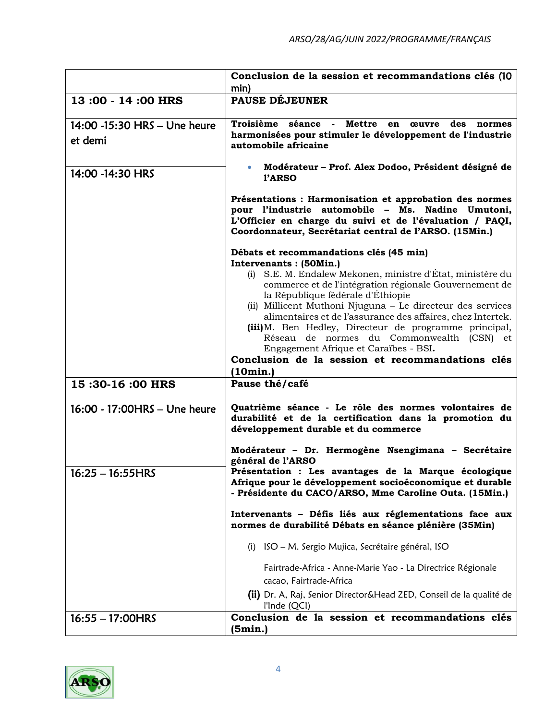|                                         | Conclusion de la session et recommandations clés (10<br>min)                                                                                                                                                                                                                                                                                                                                                                                                                                                          |
|-----------------------------------------|-----------------------------------------------------------------------------------------------------------------------------------------------------------------------------------------------------------------------------------------------------------------------------------------------------------------------------------------------------------------------------------------------------------------------------------------------------------------------------------------------------------------------|
| 13:00 - 14:00 HRS                       | <b>PAUSE DÉJEUNER</b>                                                                                                                                                                                                                                                                                                                                                                                                                                                                                                 |
| 14:00 -15:30 HRS - Une heure<br>et demi | Troisième séance - Mettre en œuvre<br>des<br>normes<br>harmonisées pour stimuler le développement de l'industrie<br>automobile africaine                                                                                                                                                                                                                                                                                                                                                                              |
| 14:00 -14:30 HRS                        | Modérateur - Prof. Alex Dodoo, Président désigné de<br>$\bullet$<br>l'ARSO                                                                                                                                                                                                                                                                                                                                                                                                                                            |
|                                         | Présentations : Harmonisation et approbation des normes<br>pour l'industrie automobile - Ms. Nadine Umutoni,<br>L'Officier en charge du suivi et de l'évaluation / PAQI,<br>Coordonnateur, Secrétariat central de l'ARSO. (15Min.)                                                                                                                                                                                                                                                                                    |
|                                         | Débats et recommandations clés (45 min)                                                                                                                                                                                                                                                                                                                                                                                                                                                                               |
|                                         | Intervenants : (50Min.)<br>(i) S.E. M. Endalew Mekonen, ministre d'État, ministère du<br>commerce et de l'intégration régionale Gouvernement de<br>la République fédérale d'Éthiopie<br>(ii) Millicent Muthoni Njuguna – Le directeur des services<br>alimentaires et de l'assurance des affaires, chez Intertek.<br>(iii) M. Ben Hedley, Directeur de programme principal,<br>Réseau de normes du Commonwealth (CSN) et<br>Engagement Afrique et Caraïbes - BSI.<br>Conclusion de la session et recommandations clés |
|                                         | (10min.)                                                                                                                                                                                                                                                                                                                                                                                                                                                                                                              |
| 15:30-16:00 HRS                         | Pause thé/café                                                                                                                                                                                                                                                                                                                                                                                                                                                                                                        |
| 16:00 - 17:00HRS - Une heure            | Quatrième séance - Le rôle des normes volontaires de<br>durabilité et de la certification dans la promotion du<br>développement durable et du commerce                                                                                                                                                                                                                                                                                                                                                                |
|                                         | Modérateur - Dr. Hermogène Nsengimana - Secrétaire<br>général de l'ARSO                                                                                                                                                                                                                                                                                                                                                                                                                                               |
| $16:25 - 16:55HRS$                      | Présentation : Les avantages de la Marque écologique<br>Afrique pour le développement socioéconomique et durable<br>- Présidente du CACO/ARSO, Mme Caroline Outa. (15Min.)                                                                                                                                                                                                                                                                                                                                            |
|                                         | Intervenants - Défis liés aux réglementations face aux<br>normes de durabilité Débats en séance plénière (35Min)                                                                                                                                                                                                                                                                                                                                                                                                      |
|                                         | (i) ISO – M. Sergio Mujica, Secrétaire général, ISO                                                                                                                                                                                                                                                                                                                                                                                                                                                                   |
|                                         | Fairtrade-Africa - Anne-Marie Yao - La Directrice Régionale<br>cacao, Fairtrade-Africa                                                                                                                                                                                                                                                                                                                                                                                                                                |
|                                         | (ii) Dr. A, Raj, Senior Director&Head ZED, Conseil de la qualité de<br>l'Inde (QCI)                                                                                                                                                                                                                                                                                                                                                                                                                                   |
| $16:55 - 17:00$ HRS                     | Conclusion de la session et recommandations clés<br>(5min.)                                                                                                                                                                                                                                                                                                                                                                                                                                                           |

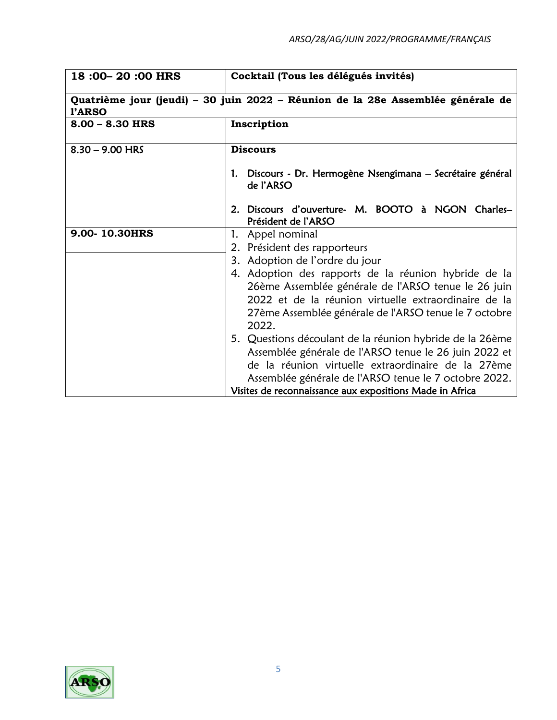| Cocktail (Tous les délégués invités)                                                                                                                                                                                                                                                         |
|----------------------------------------------------------------------------------------------------------------------------------------------------------------------------------------------------------------------------------------------------------------------------------------------|
| Quatrième jour (jeudi) - 30 juin 2022 - Réunion de la 28e Assemblée générale de                                                                                                                                                                                                              |
| Inscription                                                                                                                                                                                                                                                                                  |
| <b>Discours</b>                                                                                                                                                                                                                                                                              |
| 1. Discours - Dr. Hermogène Nsengimana – Secrétaire général<br>de l'ARSO                                                                                                                                                                                                                     |
| 2. Discours d'ouverture- M. BOOTO à NGON Charles-<br>Président de l'ARSO                                                                                                                                                                                                                     |
| 1. Appel nominal                                                                                                                                                                                                                                                                             |
| 2. Président des rapporteurs                                                                                                                                                                                                                                                                 |
| 3. Adoption de l'ordre du jour                                                                                                                                                                                                                                                               |
| 4. Adoption des rapports de la réunion hybride de la<br>26ème Assemblée générale de l'ARSO tenue le 26 juin<br>2022 et de la réunion virtuelle extraordinaire de la                                                                                                                          |
| 27ème Assemblée générale de l'ARSO tenue le 7 octobre<br>2022.                                                                                                                                                                                                                               |
| 5. Questions découlant de la réunion hybride de la 26ème<br>Assemblée générale de l'ARSO tenue le 26 juin 2022 et<br>de la réunion virtuelle extraordinaire de la 27ème<br>Assemblée générale de l'ARSO tenue le 7 octobre 2022.<br>Visites de reconnaissance aux expositions Made in Africa |
|                                                                                                                                                                                                                                                                                              |

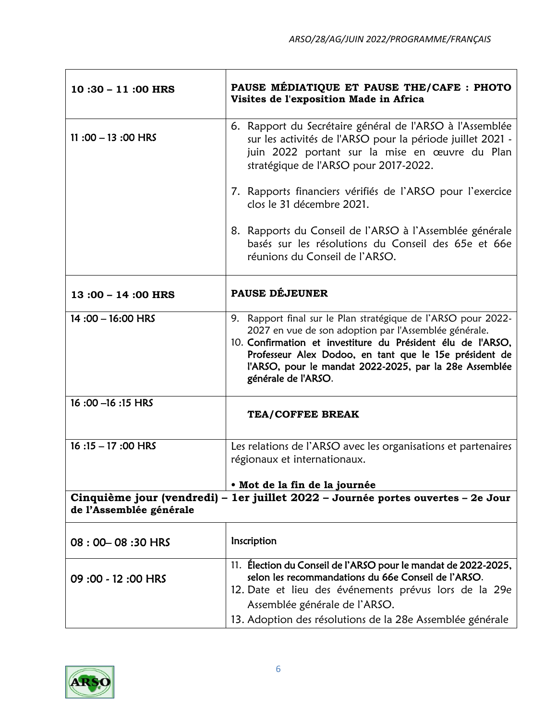| $10:30 - 11:00$ HRS     | PAUSE MÉDIATIQUE ET PAUSE THE/CAFE : PHOTO<br>Visites de l'exposition Made in Africa                                                                                                                                                                                                                                             |
|-------------------------|----------------------------------------------------------------------------------------------------------------------------------------------------------------------------------------------------------------------------------------------------------------------------------------------------------------------------------|
| 11:00 $-$ 13:00 HRS     | 6. Rapport du Secrétaire général de l'ARSO à l'Assemblée<br>sur les activités de l'ARSO pour la période juillet 2021 -<br>juin 2022 portant sur la mise en œuvre du Plan<br>stratégique de l'ARSO pour 2017-2022.                                                                                                                |
|                         | 7. Rapports financiers vérifiés de l'ARSO pour l'exercice<br>clos le 31 décembre 2021.                                                                                                                                                                                                                                           |
|                         | 8. Rapports du Conseil de l'ARSO à l'Assemblée générale<br>basés sur les résolutions du Conseil des 65e et 66e<br>réunions du Conseil de l'ARSO.                                                                                                                                                                                 |
| 13:00 - 14:00 HRS       | <b>PAUSE DÉJEUNER</b>                                                                                                                                                                                                                                                                                                            |
| $14:00 - 16:00$ HRS     | 9. Rapport final sur le Plan stratégique de l'ARSO pour 2022-<br>2027 en vue de son adoption par l'Assemblée générale.<br>10. Confirmation et investiture du Président élu de l'ARSO,<br>Professeur Alex Dodoo, en tant que le 15e président de<br>l'ARSO, pour le mandat 2022-2025, par la 28e Assemblée<br>générale de l'ARSO. |
| 16:00 - 16:15 HRS       | <b>TEA/COFFEE BREAK</b>                                                                                                                                                                                                                                                                                                          |
| $16:15 - 17:00$ HRS     | Les relations de l'ARSO avec les organisations et partenaires<br>régionaux et internationaux.                                                                                                                                                                                                                                    |
|                         | · Mot de la fin de la journée                                                                                                                                                                                                                                                                                                    |
| de l'Assemblée générale | Cinquième jour (vendredi) – 1er juillet 2022 – Journée portes ouvertes – 2e Jour                                                                                                                                                                                                                                                 |
| 08:00-08:30 HRS         | Inscription                                                                                                                                                                                                                                                                                                                      |
| 09:00 - 12:00 HRS       | 11. Élection du Conseil de l'ARSO pour le mandat de 2022-2025,<br>selon les recommandations du 66e Conseil de l'ARSO.<br>12. Date et lieu des événements prévus lors de la 29e<br>Assemblée générale de l'ARSO.                                                                                                                  |
|                         | 13. Adoption des résolutions de la 28e Assemblée générale                                                                                                                                                                                                                                                                        |